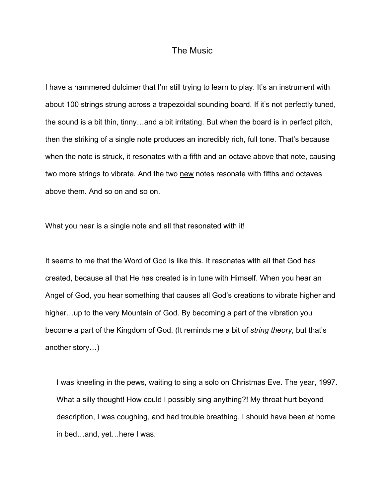## The Music

I have a hammered dulcimer that I'm still trying to learn to play. It's an instrument with about 100 strings strung across a trapezoidal sounding board. If it's not perfectly tuned, the sound is a bit thin, tinny…and a bit irritating. But when the board is in perfect pitch, then the striking of a single note produces an incredibly rich, full tone. That's because when the note is struck, it resonates with a fifth and an octave above that note, causing two more strings to vibrate. And the two new notes resonate with fifths and octaves above them. And so on and so on.

What you hear is a single note and all that resonated with it!

It seems to me that the Word of God is like this. It resonates with all that God has created, because all that He has created is in tune with Himself. When you hear an Angel of God, you hear something that causes all God's creations to vibrate higher and higher…up to the very Mountain of God. By becoming a part of the vibration you become a part of the Kingdom of God. (It reminds me a bit of *string theory*, but that's another story…)

I was kneeling in the pews, waiting to sing a solo on Christmas Eve. The year, 1997. What a silly thought! How could I possibly sing anything?! My throat hurt beyond description, I was coughing, and had trouble breathing. I should have been at home in bed…and, yet…here I was.